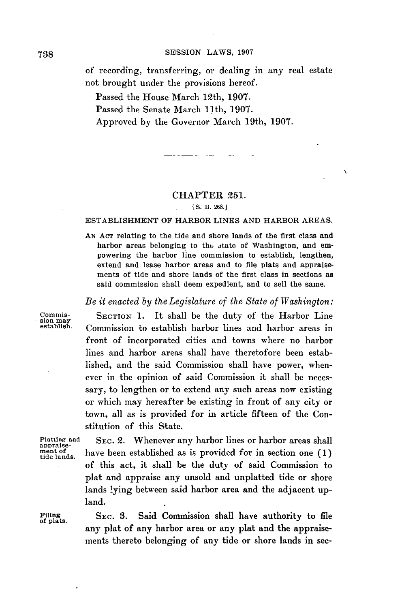**SESSION** LAWS, **<sup>1907</sup> 738**

of recording, transferring, or dealing in any real estate not brought under the provisions hereof.

Passed the House March 12th, **1907.**

Passed the Senate March 11th, **1907.**

Approved **by** the Governor March 19th, **1907.**

المحادث المستناطين

## CHAPTER **251.**

 $\lambda$ 

## **[ S. B. 268.]**

## **ESTABLISHMENT** OF HARBOR LINES **AND** HARBOR **AREAS.**

**AN AcT** relating to the tide and shore lands of the first class and harbor areas belonging to the state of Washington, and empowering the harbor line commission to establish, lengthen, extend and lease harbor areas and to file plats and appraisements of tide and shore lands of the first class in sections as said commission shall deem expedient, and to sell the same.

*Be it enacted by the Legislature of the State of Washington:*

**Commis- SECTION 1.** It shall be the duty of the Harbor Line sion may **establish.** Commission to establish harbor lines and harbor areas in front of incorporated cities and towns where no harbor lines and harbor areas shall have theretofore been established, and the said Commission shall have power, whenever in the opinion of said Commission it shall be necessary, to lengthen or to extend any such areas now existing or which may hereafter be existing in front of any city or town, all as is provided for in article fifteen of the Constitution of this State.

**Platting and SEC.** 2. Whenever any harbor lines or harbor areas shall **appraisement of** have been established as is provided for in section one **(1) tide iands.** of this act, it shall be the duty of said Commission to plat and appraise any unsold and unplatted tide or shore lands lying between said harbor area and the adjacent upland.

**Filing SEC. 3.** Said Commission shall have authority to file **of plats.** any plat of any harbor area or any plat and the appraisements thereto belonging of any tide or shore lands in sec-